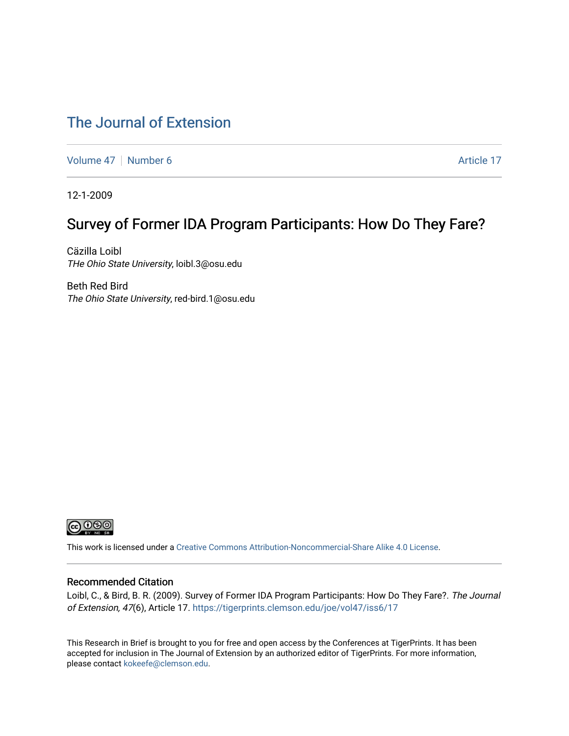## [The Journal of Extension](https://tigerprints.clemson.edu/joe)

[Volume 47](https://tigerprints.clemson.edu/joe/vol47) | [Number 6](https://tigerprints.clemson.edu/joe/vol47/iss6) Article 17

12-1-2009

## Survey of Former IDA Program Participants: How Do They Fare?

Cäzilla Loibl THe Ohio State University, loibl.3@osu.edu

Beth Red Bird The Ohio State University, red-bird.1@osu.edu



This work is licensed under a [Creative Commons Attribution-Noncommercial-Share Alike 4.0 License.](https://creativecommons.org/licenses/by-nc-sa/4.0/)

#### Recommended Citation

Loibl, C., & Bird, B. R. (2009). Survey of Former IDA Program Participants: How Do They Fare?. The Journal of Extension, 47(6), Article 17.<https://tigerprints.clemson.edu/joe/vol47/iss6/17>

This Research in Brief is brought to you for free and open access by the Conferences at TigerPrints. It has been accepted for inclusion in The Journal of Extension by an authorized editor of TigerPrints. For more information, please contact [kokeefe@clemson.edu](mailto:kokeefe@clemson.edu).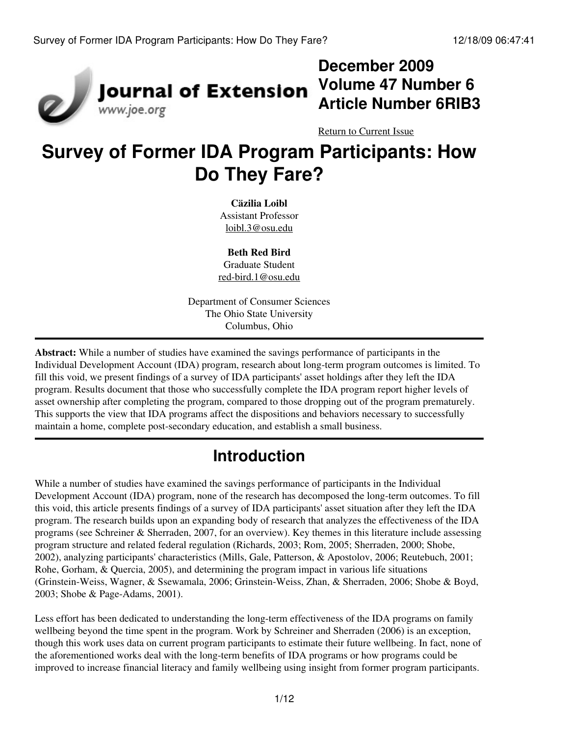

# **December 2009 Volume 47 Number 6 Article Number 6RIB3**

[Return to Current Issue](http://www.joe.org:80/joe/2009december/)

# **Survey of Former IDA Program Participants: How Do They Fare?**

**Cäzilia Loibl** Assistant Professor [loibl.3@osu.edu](mailto:loibl.3@osu.edu)

**Beth Red Bird** Graduate Student [red-bird.1@osu.edu](mailto:red-bird.1@osu.edu)

Department of Consumer Sciences The Ohio State University Columbus, Ohio

**Abstract:** While a number of studies have examined the savings performance of participants in the Individual Development Account (IDA) program, research about long-term program outcomes is limited. To fill this void, we present findings of a survey of IDA participants' asset holdings after they left the IDA program. Results document that those who successfully complete the IDA program report higher levels of asset ownership after completing the program, compared to those dropping out of the program prematurely. This supports the view that IDA programs affect the dispositions and behaviors necessary to successfully maintain a home, complete post-secondary education, and establish a small business.

# **Introduction**

While a number of studies have examined the savings performance of participants in the Individual Development Account (IDA) program, none of the research has decomposed the long-term outcomes. To fill this void, this article presents findings of a survey of IDA participants' asset situation after they left the IDA program. The research builds upon an expanding body of research that analyzes the effectiveness of the IDA programs (see Schreiner & Sherraden, 2007, for an overview). Key themes in this literature include assessing program structure and related federal regulation (Richards, 2003; Rom, 2005; Sherraden, 2000; Shobe, 2002), analyzing participants' characteristics (Mills, Gale, Patterson, & Apostolov, 2006; Reutebuch, 2001; Rohe, Gorham, & Quercia, 2005), and determining the program impact in various life situations (Grinstein-Weiss, Wagner, & Ssewamala, 2006; Grinstein-Weiss, Zhan, & Sherraden, 2006; Shobe & Boyd, 2003; Shobe & Page-Adams, 2001).

Less effort has been dedicated to understanding the long-term effectiveness of the IDA programs on family wellbeing beyond the time spent in the program. Work by Schreiner and Sherraden (2006) is an exception, though this work uses data on current program participants to estimate their future wellbeing. In fact, none of the aforementioned works deal with the long-term benefits of IDA programs or how programs could be improved to increase financial literacy and family wellbeing using insight from former program participants.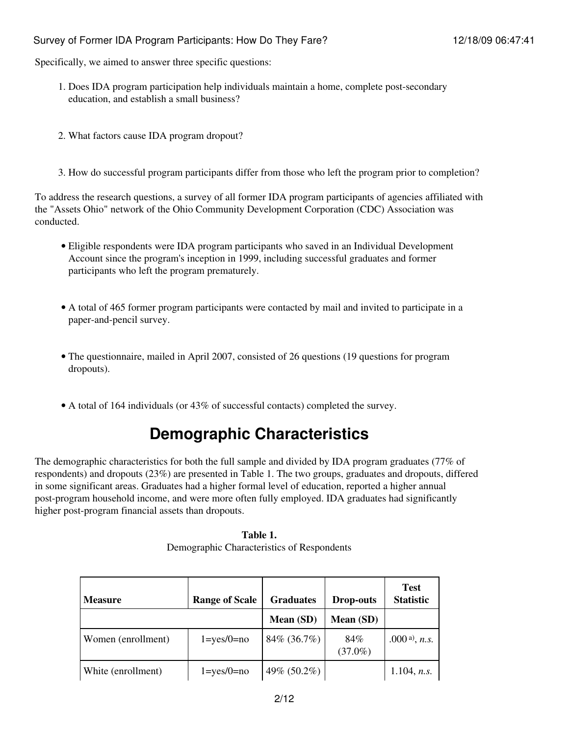Specifically, we aimed to answer three specific questions:

- 1. Does IDA program participation help individuals maintain a home, complete post-secondary education, and establish a small business?
- 2. What factors cause IDA program dropout?
- 3. How do successful program participants differ from those who left the program prior to completion?

To address the research questions, a survey of all former IDA program participants of agencies affiliated with the "Assets Ohio" network of the Ohio Community Development Corporation (CDC) Association was conducted.

- Eligible respondents were IDA program participants who saved in an Individual Development Account since the program's inception in 1999, including successful graduates and former participants who left the program prematurely.
- A total of 465 former program participants were contacted by mail and invited to participate in a paper-and-pencil survey.
- The questionnaire, mailed in April 2007, consisted of 26 questions (19 questions for program dropouts).
- A total of 164 individuals (or 43% of successful contacts) completed the survey.

## **Demographic Characteristics**

The demographic characteristics for both the full sample and divided by IDA program graduates (77% of respondents) and dropouts (23%) are presented in Table 1. The two groups, graduates and dropouts, differed in some significant areas. Graduates had a higher formal level of education, reported a higher annual post-program household income, and were more often fully employed. IDA graduates had significantly higher post-program financial assets than dropouts.

> **Table 1.** Demographic Characteristics of Respondents

| <b>Measure</b>     | <b>Range of Scale</b> | <b>Graduates</b> | <b>Drop-outs</b>  | <b>Test</b><br><b>Statistic</b> |
|--------------------|-----------------------|------------------|-------------------|---------------------------------|
|                    |                       | Mean (SD)        | Mean (SD)         |                                 |
| Women (enrollment) | $1 = yes/0 = no$      | 84% (36.7%)      | 84%<br>$(37.0\%)$ | .000 a), $n.s.$                 |
| White (enrollment) | $1 = yes/0 = no$      | 49% (50.2%)      |                   | $1.104$ , n.s.                  |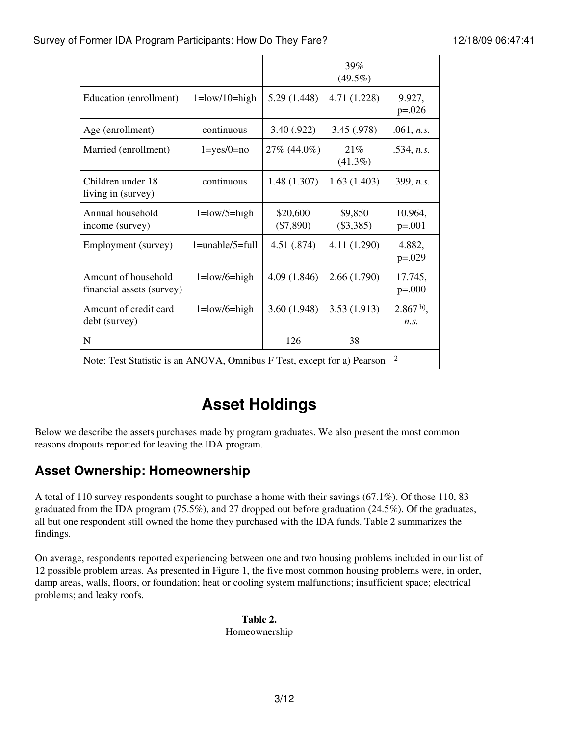|                                                                                           |                                          |                         | 39%<br>$(49.5\%)$    |                     |
|-------------------------------------------------------------------------------------------|------------------------------------------|-------------------------|----------------------|---------------------|
| Education (enrollment)                                                                    | $1 = low/10 = high$                      | 5.29(1.448)             | 4.71 (1.228)         | 9.927,<br>$p=.026$  |
| Age (enrollment)                                                                          | continuous                               | 3.40 (.922)             | 3.45 (.978)          | .061, n.s.          |
| Married (enrollment)                                                                      | $1 = yes/0 = no$                         | 27% (44.0%)             | 21%<br>$(41.3\%)$    | .534, n.s.          |
| Children under 18<br>living in (survey)                                                   | continuous                               | 1.48(1.307)             | 1.63(1.403)          | .399, n.s.          |
| Annual household<br>income (survey)                                                       | $1 = \frac{\text{low}}{5} = \text{high}$ | \$20,600<br>$(\$7,890)$ | \$9,850<br>(\$3,385) | 10.964,<br>$p=.001$ |
| Employment (survey)                                                                       | $1 = \text{unable}/5 = \text{full}$      | 4.51 (.874)             | 4.11 (1.290)         | 4.882,<br>$p=.029$  |
| Amount of household<br>financial assets (survey)                                          | $1 = low/6 = high$                       | 4.09(1.846)             | 2.66(1.790)          | 17.745,<br>$p=.000$ |
| Amount of credit card<br>debt (survey)                                                    | $1 = low/6 = high$                       | 3.60(1.948)             | 3.53(1.913)          | $2.867b$ ,<br>n.s.  |
| N                                                                                         |                                          | 126                     | 38                   |                     |
| $\overline{2}$<br>Note: Test Statistic is an ANOVA, Omnibus F Test, except for a) Pearson |                                          |                         |                      |                     |

# **Asset Holdings**

Below we describe the assets purchases made by program graduates. We also present the most common reasons dropouts reported for leaving the IDA program.

## **Asset Ownership: Homeownership**

A total of 110 survey respondents sought to purchase a home with their savings (67.1%). Of those 110, 83 graduated from the IDA program (75.5%), and 27 dropped out before graduation (24.5%). Of the graduates, all but one respondent still owned the home they purchased with the IDA funds. Table 2 summarizes the findings.

On average, respondents reported experiencing between one and two housing problems included in our list of 12 possible problem areas. As presented in Figure 1, the five most common housing problems were, in order, damp areas, walls, floors, or foundation; heat or cooling system malfunctions; insufficient space; electrical problems; and leaky roofs.

> **Table 2.** Homeownership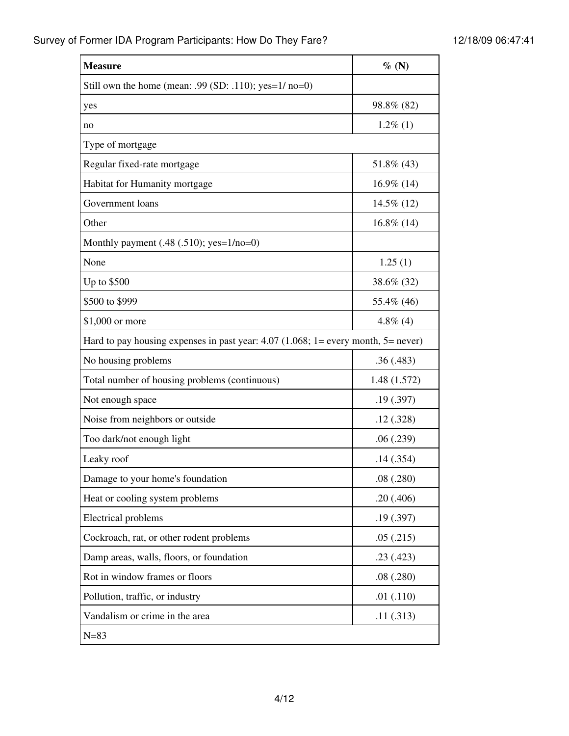| <b>Measure</b>                                                                      | $\%$ (N)      |
|-------------------------------------------------------------------------------------|---------------|
| Still own the home (mean: .99 (SD: .110); yes= $1/$ no=0)                           |               |
| yes                                                                                 | 98.8% (82)    |
| no                                                                                  | $1.2\%$ (1)   |
| Type of mortgage                                                                    |               |
| Regular fixed-rate mortgage                                                         | 51.8% (43)    |
| Habitat for Humanity mortgage                                                       | 16.9% (14)    |
| Government loans                                                                    | 14.5% (12)    |
| Other                                                                               | $16.8\%$ (14) |
| Monthly payment $(.48 (.510);$ yes= $1/no=0)$                                       |               |
| None                                                                                | 1.25(1)       |
| Up to \$500                                                                         | 38.6% (32)    |
| \$500 to \$999                                                                      | 55.4% (46)    |
| \$1,000 or more                                                                     | 4.8% $(4)$    |
| Hard to pay housing expenses in past year: $4.07$ (1.068; 1= every month, 5= never) |               |
| No housing problems                                                                 | .36(.483)     |
| Total number of housing problems (continuous)                                       | 1.48(1.572)   |
| Not enough space                                                                    | .19(0.397)    |
| Noise from neighbors or outside                                                     | .12(.328)     |
| Too dark/not enough light                                                           | .06(.239)     |
| Leaky roof                                                                          | .14(.354)     |
| Damage to your home's foundation                                                    | .08(.280)     |
| Heat or cooling system problems                                                     | .20(.406)     |
| <b>Electrical problems</b>                                                          | .19(.397)     |
| Cockroach, rat, or other rodent problems                                            | .05(.215)     |
| Damp areas, walls, floors, or foundation                                            | .23(.423)     |
| Rot in window frames or floors                                                      | .08(.280)     |
| Pollution, traffic, or industry                                                     | .01(.110)     |
| Vandalism or crime in the area                                                      | .11(.313)     |
| $N = 83$                                                                            |               |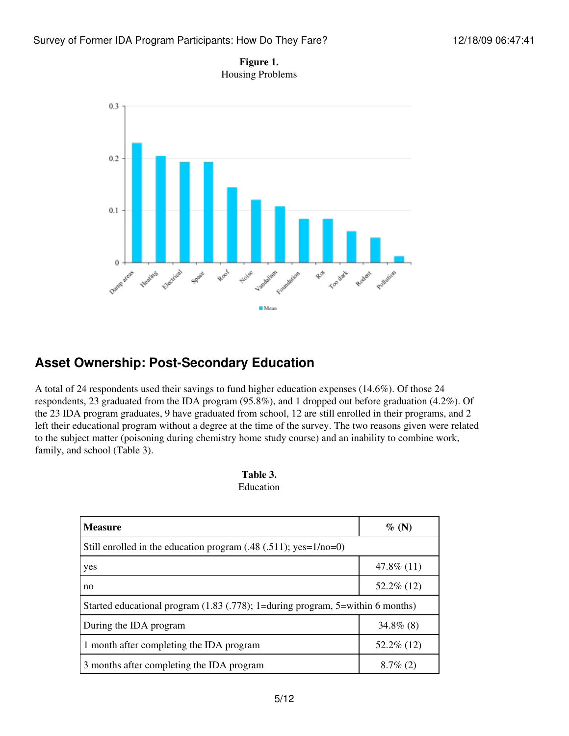



### **Asset Ownership: Post-Secondary Education**

A total of 24 respondents used their savings to fund higher education expenses (14.6%). Of those 24 respondents, 23 graduated from the IDA program (95.8%), and 1 dropped out before graduation (4.2%). Of the 23 IDA program graduates, 9 have graduated from school, 12 are still enrolled in their programs, and 2 left their educational program without a degree at the time of the survey. The two reasons given were related to the subject matter (poisoning during chemistry home study course) and an inability to combine work, family, and school (Table 3).

| Table 3.  |  |
|-----------|--|
| Education |  |

| <b>Measure</b>                                                                 | $\%$ (N)      |
|--------------------------------------------------------------------------------|---------------|
| Still enrolled in the education program $(.48 (.511); yes=1/no=0)$             |               |
| yes                                                                            | $47.8\%$ (11) |
| no                                                                             | $52.2\%$ (12) |
| Started educational program (1.83 (.778); 1=during program, 5=within 6 months) |               |
| During the IDA program                                                         | $34.8\%$ (8)  |
| 1 month after completing the IDA program                                       | $52.2\%$ (12) |
| 3 months after completing the IDA program                                      | $8.7\%$ (2)   |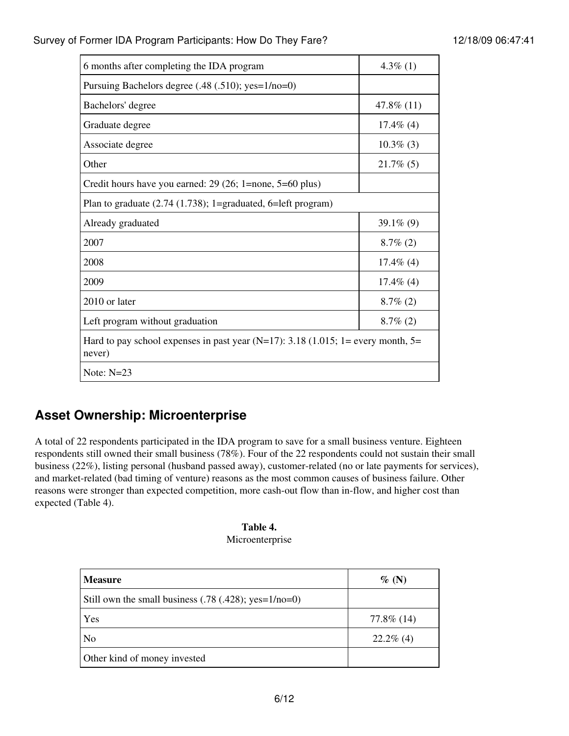| 6 months after completing the IDA program                                                    | 4.3% $(1)$   |  |
|----------------------------------------------------------------------------------------------|--------------|--|
| Pursuing Bachelors degree (.48 (.510); yes=1/no=0)                                           |              |  |
| Bachelors' degree                                                                            | 47.8% $(11)$ |  |
| Graduate degree                                                                              | $17.4\%$ (4) |  |
| Associate degree                                                                             | $10.3\%$ (3) |  |
| Other                                                                                        | $21.7\%$ (5) |  |
| Credit hours have you earned: $29(26; 1)$ =none, $5=60$ plus)                                |              |  |
| Plan to graduate $(2.74 (1.738))$ ; 1=graduated, 6=left program)                             |              |  |
| Already graduated                                                                            | 39.1\% $(9)$ |  |
| 2007                                                                                         | $8.7\%$ (2)  |  |
| 2008                                                                                         | $17.4\%$ (4) |  |
| 2009                                                                                         | $17.4\%$ (4) |  |
| 2010 or later                                                                                | $8.7\%$ (2)  |  |
| Left program without graduation                                                              | $8.7\%$ (2)  |  |
| Hard to pay school expenses in past year (N=17): 3.18 (1.015; 1= every month, $5=$<br>never) |              |  |
| Note: $N=23$                                                                                 |              |  |

## **Asset Ownership: Microenterprise**

A total of 22 respondents participated in the IDA program to save for a small business venture. Eighteen respondents still owned their small business (78%). Four of the 22 respondents could not sustain their small business (22%), listing personal (husband passed away), customer-related (no or late payments for services), and market-related (bad timing of venture) reasons as the most common causes of business failure. Other reasons were stronger than expected competition, more cash-out flow than in-flow, and higher cost than expected (Table 4).

| Table 4.        |
|-----------------|
| Microenterprise |

| <b>Measure</b>                                          | $\%$ (N)     |
|---------------------------------------------------------|--------------|
| Still own the small business $(.78 (.428); yes=1/no=0)$ |              |
| Yes                                                     | 77.8% (14)   |
| N <sub>o</sub>                                          | $22.2\%$ (4) |
| Other kind of money invested                            |              |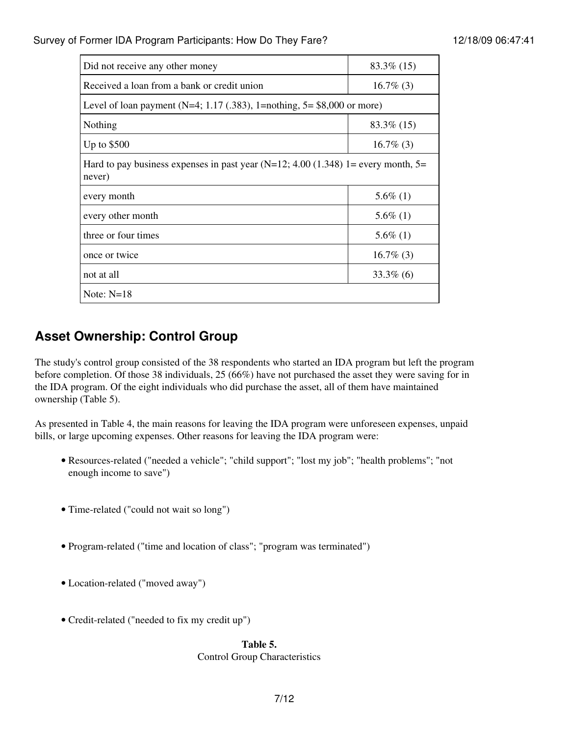| Did not receive any other money                                                               | $83.3\%$ (15) |  |
|-----------------------------------------------------------------------------------------------|---------------|--|
| Received a loan from a bank or credit union                                                   | $16.7\%$ (3)  |  |
| Level of loan payment (N=4; 1.17 (.383), 1=nothing, $5 = $8,000$ or more)                     |               |  |
| Nothing                                                                                       | $83.3\%$ (15) |  |
| Up to $$500$                                                                                  | $16.7\%$ (3)  |  |
| Hard to pay business expenses in past year (N=12; 4.00 (1.348) 1= every month, $5=$<br>never) |               |  |
| every month                                                                                   | $5.6\%$ (1)   |  |
| every other month                                                                             | $5.6\%$ (1)   |  |
| three or four times                                                                           | $5.6\%$ (1)   |  |
| once or twice                                                                                 | $16.7\%$ (3)  |  |
| not at all                                                                                    | $33.3\%$ (6)  |  |
| Note: $N=18$                                                                                  |               |  |

### **Asset Ownership: Control Group**

The study's control group consisted of the 38 respondents who started an IDA program but left the program before completion. Of those 38 individuals, 25 (66%) have not purchased the asset they were saving for in the IDA program. Of the eight individuals who did purchase the asset, all of them have maintained ownership (Table 5).

As presented in Table 4, the main reasons for leaving the IDA program were unforeseen expenses, unpaid bills, or large upcoming expenses. Other reasons for leaving the IDA program were:

- Resources-related ("needed a vehicle"; "child support"; "lost my job"; "health problems"; "not enough income to save")
- Time-related ("could not wait so long")
- Program-related ("time and location of class"; "program was terminated")
- Location-related ("moved away")
- Credit-related ("needed to fix my credit up")

#### **Table 5.**

#### Control Group Characteristics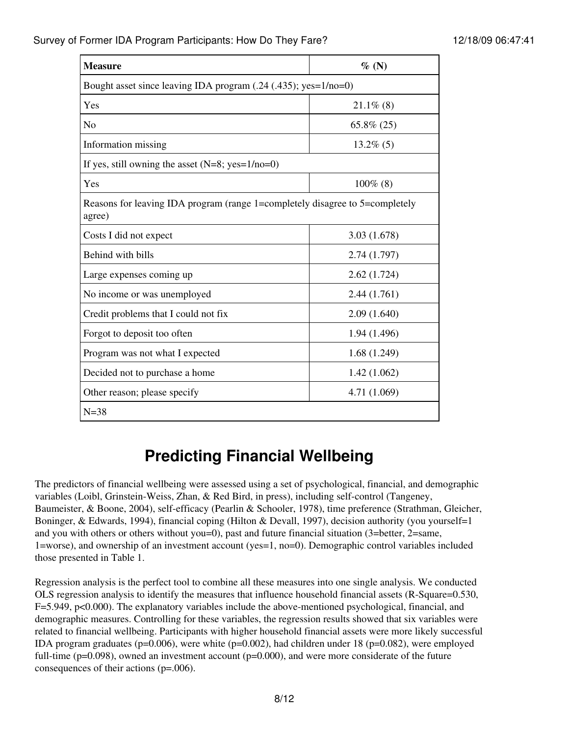| <b>Measure</b>                                                                         | $\%$ (N)      |  |
|----------------------------------------------------------------------------------------|---------------|--|
| Bought asset since leaving IDA program (.24 (.435); yes=1/no=0)                        |               |  |
| Yes                                                                                    | $21.1\%$ (8)  |  |
| N <sub>o</sub>                                                                         | $65.8\% (25)$ |  |
| Information missing                                                                    | $13.2\%$ (5)  |  |
| If yes, still owning the asset $(N=8; yes=1/no=0)$                                     |               |  |
| Yes                                                                                    | $100\%$ (8)   |  |
| Reasons for leaving IDA program (range 1=completely disagree to 5=completely<br>agree) |               |  |
| Costs I did not expect                                                                 | 3.03(1.678)   |  |
| Behind with bills                                                                      | 2.74(1.797)   |  |
| Large expenses coming up                                                               | 2.62(1.724)   |  |
| No income or was unemployed                                                            | 2.44(1.761)   |  |
| Credit problems that I could not fix                                                   | 2.09(1.640)   |  |
| Forgot to deposit too often                                                            | 1.94 (1.496)  |  |
| Program was not what I expected                                                        | 1.68(1.249)   |  |
| Decided not to purchase a home                                                         | 1.42(1.062)   |  |
| Other reason; please specify                                                           | 4.71 (1.069)  |  |
| $N = 38$                                                                               |               |  |

# **Predicting Financial Wellbeing**

The predictors of financial wellbeing were assessed using a set of psychological, financial, and demographic variables (Loibl, Grinstein-Weiss, Zhan, & Red Bird, in press), including self-control (Tangeney, Baumeister, & Boone, 2004), self-efficacy (Pearlin & Schooler, 1978), time preference (Strathman, Gleicher, Boninger, & Edwards, 1994), financial coping (Hilton & Devall, 1997), decision authority (you yourself=1 and you with others or others without you=0), past and future financial situation (3=better, 2=same, 1=worse), and ownership of an investment account (yes=1, no=0). Demographic control variables included those presented in Table 1.

Regression analysis is the perfect tool to combine all these measures into one single analysis. We conducted OLS regression analysis to identify the measures that influence household financial assets (R-Square=0.530, F=5.949, p<0.000). The explanatory variables include the above-mentioned psychological, financial, and demographic measures. Controlling for these variables, the regression results showed that six variables were related to financial wellbeing. Participants with higher household financial assets were more likely successful IDA program graduates (p=0.006), were white (p=0.002), had children under 18 (p=0.082), were employed full-time (p=0.098), owned an investment account (p=0.000), and were more considerate of the future consequences of their actions (p=.006).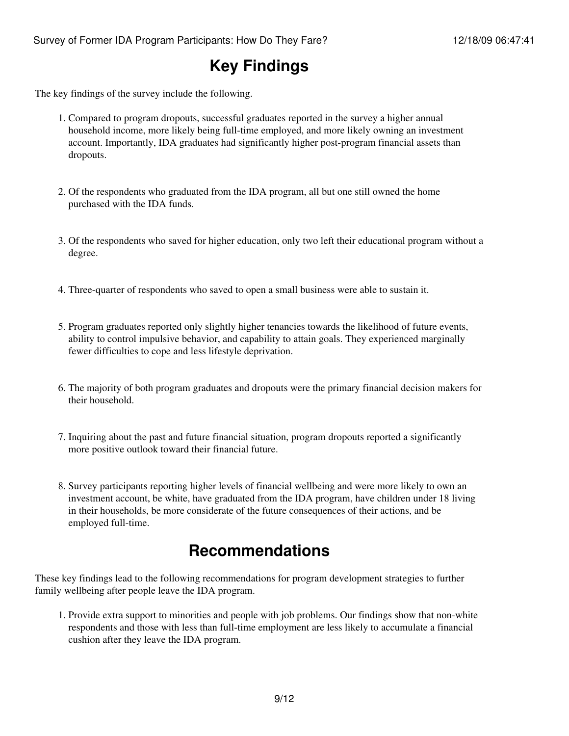## **Key Findings**

The key findings of the survey include the following.

- Compared to program dropouts, successful graduates reported in the survey a higher annual 1. household income, more likely being full-time employed, and more likely owning an investment account. Importantly, IDA graduates had significantly higher post-program financial assets than dropouts.
- 2. Of the respondents who graduated from the IDA program, all but one still owned the home purchased with the IDA funds.
- 3. Of the respondents who saved for higher education, only two left their educational program without a degree.
- 4. Three-quarter of respondents who saved to open a small business were able to sustain it.
- 5. Program graduates reported only slightly higher tenancies towards the likelihood of future events, ability to control impulsive behavior, and capability to attain goals. They experienced marginally fewer difficulties to cope and less lifestyle deprivation.
- 6. The majority of both program graduates and dropouts were the primary financial decision makers for their household.
- 7. Inquiring about the past and future financial situation, program dropouts reported a significantly more positive outlook toward their financial future.
- 8. Survey participants reporting higher levels of financial wellbeing and were more likely to own an investment account, be white, have graduated from the IDA program, have children under 18 living in their households, be more considerate of the future consequences of their actions, and be employed full-time.

## **Recommendations**

These key findings lead to the following recommendations for program development strategies to further family wellbeing after people leave the IDA program.

1. Provide extra support to minorities and people with job problems. Our findings show that non-white respondents and those with less than full-time employment are less likely to accumulate a financial cushion after they leave the IDA program.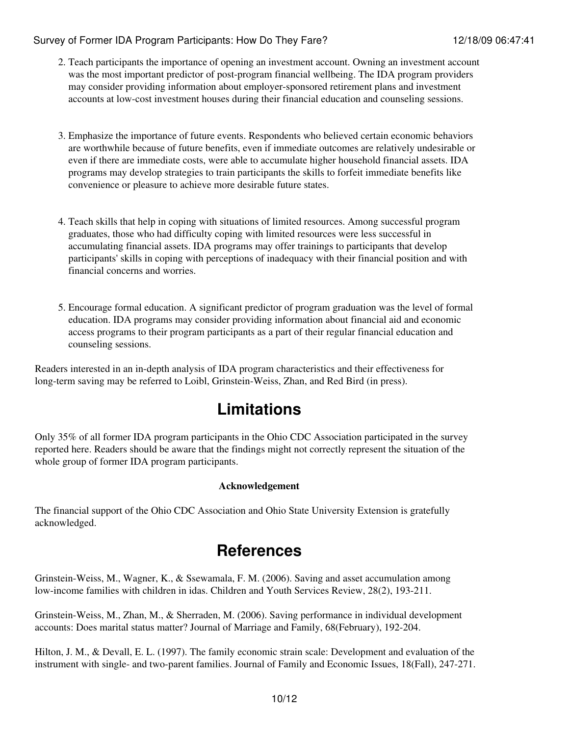- 2. Teach participants the importance of opening an investment account. Owning an investment account was the most important predictor of post-program financial wellbeing. The IDA program providers may consider providing information about employer-sponsored retirement plans and investment accounts at low-cost investment houses during their financial education and counseling sessions.
- Emphasize the importance of future events. Respondents who believed certain economic behaviors 3. are worthwhile because of future benefits, even if immediate outcomes are relatively undesirable or even if there are immediate costs, were able to accumulate higher household financial assets. IDA programs may develop strategies to train participants the skills to forfeit immediate benefits like convenience or pleasure to achieve more desirable future states.
- Teach skills that help in coping with situations of limited resources. Among successful program 4. graduates, those who had difficulty coping with limited resources were less successful in accumulating financial assets. IDA programs may offer trainings to participants that develop participants' skills in coping with perceptions of inadequacy with their financial position and with financial concerns and worries.
- Encourage formal education. A significant predictor of program graduation was the level of formal 5. education. IDA programs may consider providing information about financial aid and economic access programs to their program participants as a part of their regular financial education and counseling sessions.

Readers interested in an in-depth analysis of IDA program characteristics and their effectiveness for long-term saving may be referred to Loibl, Grinstein-Weiss, Zhan, and Red Bird (in press).

## **Limitations**

Only 35% of all former IDA program participants in the Ohio CDC Association participated in the survey reported here. Readers should be aware that the findings might not correctly represent the situation of the whole group of former IDA program participants.

### **Acknowledgement**

The financial support of the Ohio CDC Association and Ohio State University Extension is gratefully acknowledged.

## **References**

Grinstein-Weiss, M., Wagner, K., & Ssewamala, F. M. (2006). Saving and asset accumulation among low-income families with children in idas. Children and Youth Services Review, 28(2), 193-211.

Grinstein-Weiss, M., Zhan, M., & Sherraden, M. (2006). Saving performance in individual development accounts: Does marital status matter? Journal of Marriage and Family, 68(February), 192-204.

Hilton, J. M., & Devall, E. L. (1997). The family economic strain scale: Development and evaluation of the instrument with single- and two-parent families. Journal of Family and Economic Issues, 18(Fall), 247-271.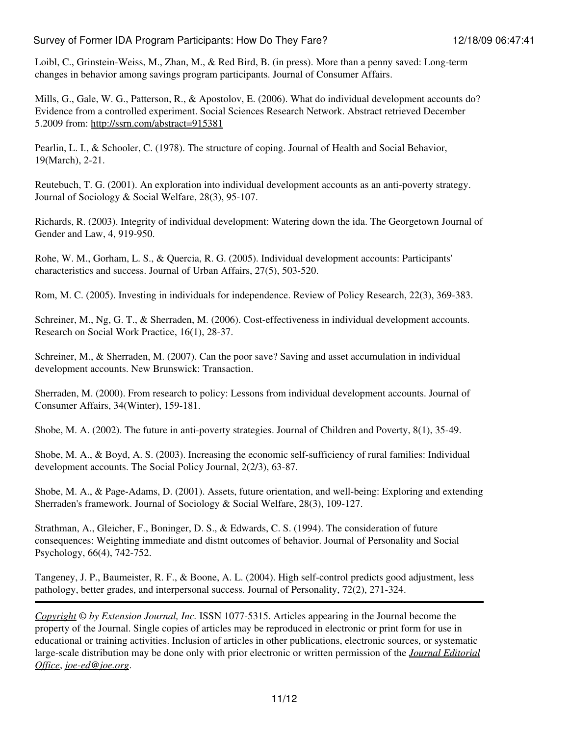Loibl, C., Grinstein-Weiss, M., Zhan, M., & Red Bird, B. (in press). More than a penny saved: Long-term changes in behavior among savings program participants. Journal of Consumer Affairs.

Mills, G., Gale, W. G., Patterson, R., & Apostolov, E. (2006). What do individual development accounts do? Evidence from a controlled experiment. Social Sciences Research Network. Abstract retrieved December 5.2009 from: <http://ssrn.com/abstract=915381>

Pearlin, L. I., & Schooler, C. (1978). The structure of coping. Journal of Health and Social Behavior, 19(March), 2-21.

Reutebuch, T. G. (2001). An exploration into individual development accounts as an anti-poverty strategy. Journal of Sociology & Social Welfare, 28(3), 95-107.

Richards, R. (2003). Integrity of individual development: Watering down the ida. The Georgetown Journal of Gender and Law, 4, 919-950.

Rohe, W. M., Gorham, L. S., & Quercia, R. G. (2005). Individual development accounts: Participants' characteristics and success. Journal of Urban Affairs, 27(5), 503-520.

Rom, M. C. (2005). Investing in individuals for independence. Review of Policy Research, 22(3), 369-383.

Schreiner, M., Ng, G. T., & Sherraden, M. (2006). Cost-effectiveness in individual development accounts. Research on Social Work Practice, 16(1), 28-37.

Schreiner, M., & Sherraden, M. (2007). Can the poor save? Saving and asset accumulation in individual development accounts. New Brunswick: Transaction.

Sherraden, M. (2000). From research to policy: Lessons from individual development accounts. Journal of Consumer Affairs, 34(Winter), 159-181.

Shobe, M. A. (2002). The future in anti-poverty strategies. Journal of Children and Poverty, 8(1), 35-49.

Shobe, M. A., & Boyd, A. S. (2003). Increasing the economic self-sufficiency of rural families: Individual development accounts. The Social Policy Journal, 2(2/3), 63-87.

Shobe, M. A., & Page-Adams, D. (2001). Assets, future orientation, and well-being: Exploring and extending Sherraden's framework. Journal of Sociology & Social Welfare, 28(3), 109-127.

Strathman, A., Gleicher, F., Boninger, D. S., & Edwards, C. S. (1994). The consideration of future consequences: Weighting immediate and distnt outcomes of behavior. Journal of Personality and Social Psychology, 66(4), 742-752.

Tangeney, J. P., Baumeister, R. F., & Boone, A. L. (2004). High self-control predicts good adjustment, less pathology, better grades, and interpersonal success. Journal of Personality, 72(2), 271-324.

*[Copyright](http://www.joe.org:80/joe/2009december/../../copyright.html) © by Extension Journal, Inc.* ISSN 1077-5315. Articles appearing in the Journal become the property of the Journal. Single copies of articles may be reproduced in electronic or print form for use in educational or training activities. Inclusion of articles in other publications, electronic sources, or systematic large-scale distribution may be done only with prior electronic or written permission of the *[Journal Editorial](http://www.joe.org:80/joe/2009december/../../joe-jeo.html) [Office](http://www.joe.org:80/joe/2009december/../../joe-jeo.html)*, *[joe-ed@joe.org](mailto:joe-ed@joe.org)*.